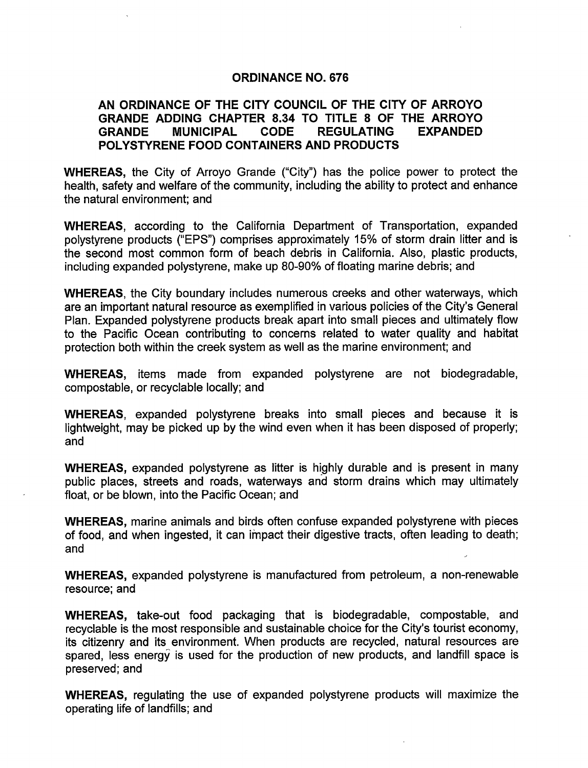### ORDINANCE NO. 676

# AN ORDINANCE OF THE CITY COUNCIL OF THE CITY OF ARROYO GRANDE ADDING CHAPTER 8. 34 TO TITLE 8 OF THE ARROYO GRANDE MUNICIPAL CODE REGULATING EXPANDED POLYSTYRENE FOOD CONTAINERS AND PRODUCTS

WHEREAS, the City of Arroyo Grande ("City") has the police power to protect the health, safety and welfare of the community, including the ability to protect and enhance the natural environment; and

WHEREAS, according to the California Department of Transportation, expanded polystyrene products ("EPS") comprises approximately 15% of storm drain litter and is the second most common form of beach debris in California. Also, plastic products, including expanded polystyrene, make up 80-90% of floating marine debris; and

WHEREAS, the City boundary includes numerous creeks and other waterways, which are an important natural resource as exemplified in various policies of the City's General Plan. Expanded polystyrene products break apart into small pieces and ultimately flow to the Pacific Ocean contributing to concerns related to water quality and habitat protection both within the creek system as well as the marine environment; and

WHEREAS, items made from expanded polystyrene are not biodegradable, compostable, or recyclable locally; and

WHEREAS, expanded polystyrene breaks into small pieces and because it is lightweight, may be picked up by the wind even when it has been disposed of properly; and

WHEREAS, expanded polystyrene as litter is highly durable and is present in many public places, streets and roads, waterways and storm drains which may ultimately float, or be blown, into the Pacific Ocean; and

WHEREAS, marine animals and birds often confuse expanded polystyrene with pieces of food, and when ingested, it can impact their digestive tracts, often leading to death; and

WHEREAS, expanded polystyrene is manufactured from petroleum, a non-renewable resource; and

WHEREAS, take-out food packaging that is biodegradable, compostable, and recyclable is the most responsible and sustainable choice for the City's tourist economy, its citizenry and its environment. When products are recycled, natural resources are spared, less energy is used for the production of new products, and landfill space is preserved; and

WHEREAS, regulating the use of expanded polystyrene products will maximize the operating life of landfills; and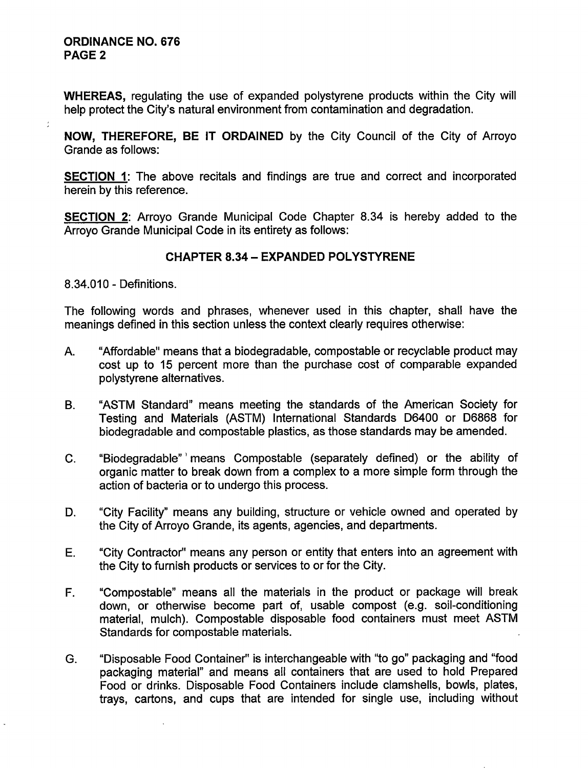## ORDINANCE NO. 676 PAGE 2

ł.

WHEREAS, regulating the use of expanded polystyrene products within the City will help protect the City's natural environment from contamination and degradation.

NOW, THEREFORE, BE IT ORDAINED by the City Council of the City of Arroyo Grande as follows:

SECTION 1: The above recitals and findings are true and correct and incorporated herein by this reference.

SECTION 2: Arroyo Grande Municipal Code Chapter 8. 34 is hereby added to the Arroyo Grande Municipal Code in its entirety as follows:

# CHAPTER 8. 34— EXPANDED POLYSTYRENE

8. 34.010 - Definitions.

The following words and phrases, whenever used in this chapter, shall have the meanings defined in this section unless the context clearly requires otherwise:

- A. "Affordable" means that a biodegradable, compostable or recyclable product may cost up to 15 percent more than the purchase cost of comparable expanded polystyrene alternatives.
- B. " ASTM Standard" means meeting the standards of the American Society for Testing and Materials (ASTM) International Standards D6400 or D6868 for biodegradable and compostable plastics, as those standards may be amended.
- C. " Biodegradable" ' means Compostable ( separately defined) or the ability of organic matter to break down from a complex to a more simple form through the action of bacteria or to undergo this process.
- D. "City Facility" means any building, structure or vehicle owned and operated by the City of Arroyo Grande, its agents, agencies, and departments.
- E. " City Contractor" means any person or entity that enters into an agreement with the City to furnish products or services to or for the City.
- F. " Compostable" means all the materials in the product or package will break down, or otherwise become part of, usable compost (e.g. soil-conditioning material, mulch). Compostable disposable food containers must meet ASTM Standards for compostable materials.
- G. " Disposable Food Container" is interchangeable with "to go" packaging and "food packaging material" and means all containers that are used to hold Prepared Food or drinks. Disposable Food Containers include clamshells, bowls, plates, trays, cartons, and cups that are intended for single use, including without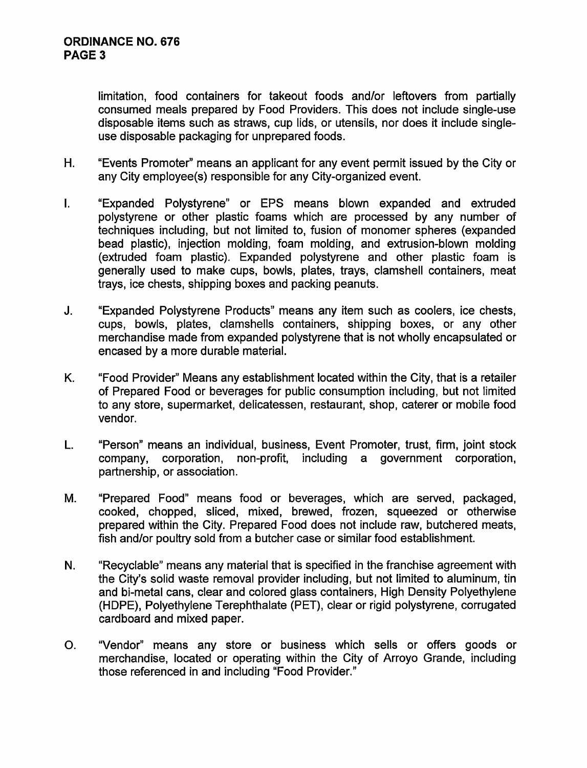limitation, food containers for takeout foods and/or leftovers from partially consumed meals prepared by Food Providers. This does not include single-use disposable items such as straws, cup lids, or utensils, nor does it include singleuse disposable packaging for unprepared foods.

- H. " Events Promoter" means an applicant for any event permit issued by the City or any City employee(s) responsible for any City-organized event.
- I. Expanded Polystyrene" or EPS means blown expanded and extruded polystyrene or other plastic foams which are processed by any number of techniques including, but not limited to, fusion of monomer spheres ( expanded bead plastic), injection molding, foam molding, and extrusion-blown molding extruded foam plastic). Expanded polystyrene and other plastic foam is generally used to make cups, bowls, plates, trays, clamshell containers, meat trays, ice chests, shipping boxes and packing peanuts.
- J. " Expanded Polystyrene Products" means any item such as coolers, ice chests, cups, bowls, plates, clamshells containers, shipping boxes, or any other merchandise made from expanded polystyrene that is not wholly encapsulated or encased by a more durable material.
- K. " Food Provider" Means any establishment located within the City, that is a retailer of Prepared Food or beverages for public consumption including, but not limited to any store, supermarket, delicatessen, restaurant, shop, caterer or mobile food vendor.
- L. " Person" means an individual, business, Event Promoter, trust, firm, joint stock company, corporation, non- profit, including a government corporation, partnership, or association.
- M. "Prepared Food" means food or beverages, which are served, packaged, cooked, chopped, sliced, mixed, brewed, frozen, squeezed or otherwise prepared within the City. Prepared Food does not include raw, butchered meats, fish and/or poultry sold from a butcher case or similar food establishment.
- N. "Recyclable" means any material that is specified in the franchise agreement with the City's solid waste removal provider including, but not limited to aluminum, tin and bi-metal cans, clear and colored glass containers, High Density Polyethylene HDPE), Polyethylene Terephthalate (PET), clear or rigid polystyrene, corrugated cardboard and mixed paper.
- O. " Vendor" means any store or business which sells or offers goods or merchandise, located or operating within the City of Arroyo Grande, including those referenced in and including "Food Provider."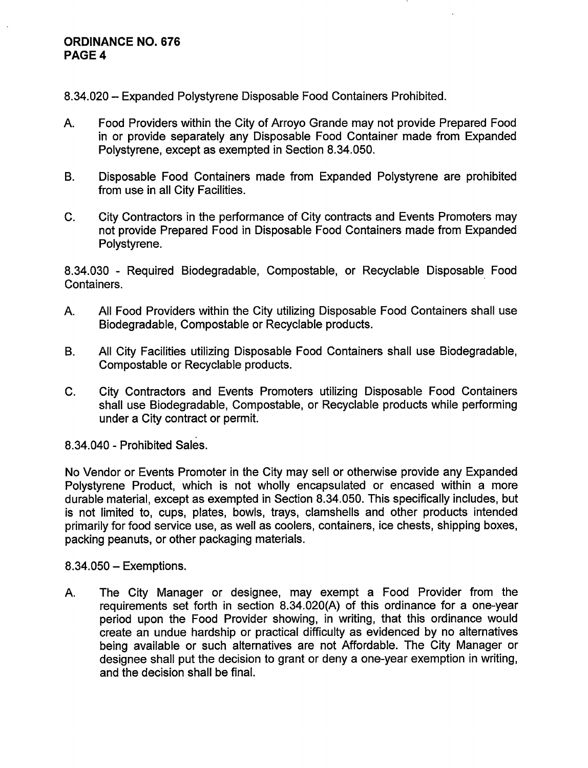## ORDINANCE NO. 676 PAGE 4

8. 34.020 — Expanded Polystyrene Disposable Food Containers Prohibited.

- A. Food Providers within the City of Arroyo Grande may not provide Prepared Food in or provide separately any Disposable Food Container made from Expanded Polystyrene, except as exempted in Section 8. 34. 050.
- B. Disposable Food Containers made from Expanded Polystyrene are prohibited from use in all City Facilities.
- C. City Contractors in the performance of City contracts and Events Promoters may not provide Prepared Food in Disposable Food Containers made from Expanded Polystyrene.

8. 34.030 - Required Biodegradable, Compostable, or Recyclable Disposable Food Containers.

- A. All Food Providers within the City utilizing Disposable Food Containers shall use Biodegradable, Compostable or Recyclable products.
- B. All City Facilities utilizing Disposable Food Containers shall use Biodegradable, Compostable or Recyclable products.
- C. City Contractors and Events Promoters utilizing Disposable Food Containers shall use Biodegradable, Compostable, or Recyclable products while performing under a City contract or permit.

8. 34.040 - Prohibited Sales.

No Vendor or Events Promoter in the City may sell or otherwise provide any Expanded Polystyrene Product, which is not wholly encapsulated or encased within a more durable material, except as exempted in Section 8. 34.050. This specifically includes, but is not limited to, cups, plates, bowls, trays, clamshells and other products intended primarily for food service use, as well as coolers, containers, ice chests, shipping boxes, packing peanuts, or other packaging materials.

8. 34.050 — Exemptions.

A. The City Manager or designee, may exempt <sup>a</sup> Food Provider from the requirements set forth in section 8. 34. 020(A) of this ordinance for a one-year period upon the Food Provider showing, in writing, that this ordinance would create an undue hardship or practical difficulty as evidenced by no alternatives being available or such alternatives are not Affordable. The City Manager or designee shall put the decision to grant or deny a one-year exemption in writing, and the decision shall be final.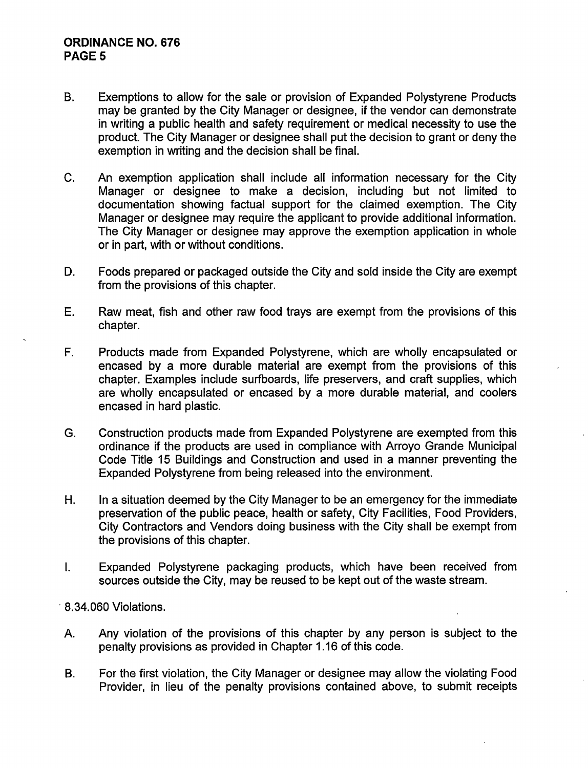# ORDINANCE NO. 676 PAGE 5

- B. Exemptions to allow for the sale or provision of Expanded Polystyrene Products may be granted by the City Manager or designee, if the vendor can demonstrate in writing a public health and safety requirement or medical necessity to use the product. The City Manager or designee shall put the decision to grant or deny the exemption in writing and the decision shall be final.
- C. An exemption application shall include all information necessary for the City Manager or designee to make a decision, including but not limited to documentation showing factual support for the claimed exemption. The City Manager or designee may require the applicant to provide additional information. The City Manager or designee may approve the exemption application in whole or in part, with or without conditions.
- D. Foods prepared or packaged outside the City and sold inside the City are exempt from the provisions of this chapter.
- E. Raw meat, fish and other raw food trays are exempt from the provisions of this chapter.
- F. Products made from Expanded Polystyrene, which are wholly encapsulated or encased by a more durable material are exempt from the provisions of this chapter. Examples include surfboards, life preservers, and craft supplies, which are wholly encapsulated or encased by <sup>a</sup> more durable material, and coolers encased in hard plastic.
- G. Construction products made from Expanded Polystyrene are exempted from this ordinance if the products are used in compliance with Arroyo Grande Municipal Code Title 15 Buildings and Construction and used in a manner preventing the Expanded Polystyrene from being released into the environment.
- H. In a situation deemed by the City Manager to be an emergency for the immediate preservation of the public peace, health or safety, City Facilities, Food Providers, City Contractors and Vendors doing business with the City shall be exempt from the provisions of this chapter.
- I. Expanded Polystyrene packaging products, which have been received from sources outside the City, may be reused to be kept out of the waste stream.
- 8. 34. 060 Violations.
- A. Any violation of the provisions of this chapter by any person is subject to the penalty provisions as provided in Chapter 1. 16 of this code.
- B. For the first violation, the City Manager or designee may allow the violating Food Provider, in lieu of the penalty provisions contained above, to submit receipts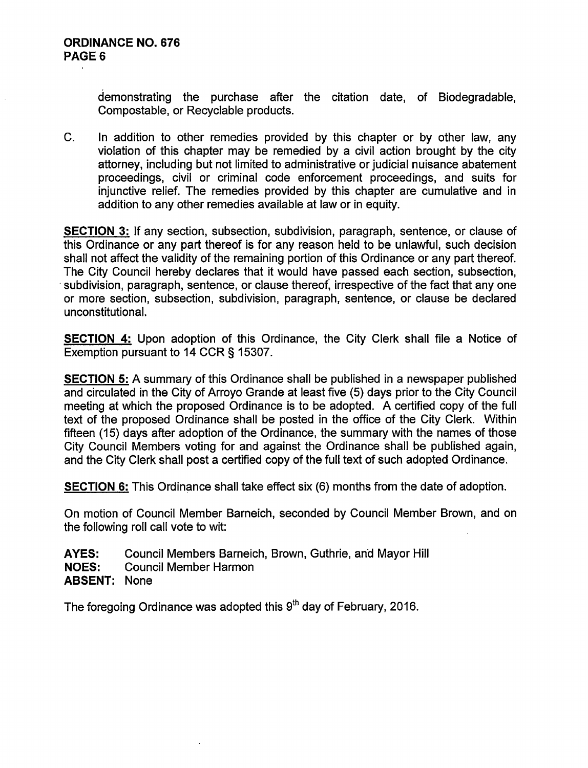demonstrating the purchase after the citation date, of Biodegradable, Compostable, or Recyclable products.

C. In addition to other remedies provided by this chapter or by other law, any violation of this chapter may be remedied by a civil action brought by the city attorney, including but not limited to administrative or judicial nuisance abatement proceedings, civil or criminal code enforcement proceedings, and suits for injunctive relief. The remedies provided by this chapter are cumulative and in addition to any other remedies available at law or in equity.

SECTION 3: If any section, subsection, subdivision, paragraph, sentence, or clause of this Ordinance or any part thereof is for any reason held to be unlawful, such decision shall not affect the validity of the remaining portion of this Ordinance or any part thereof. The City Council hereby declares that it would have passed each section, subsection, subdivision, paragraph, sentence, or clause thereof, irrespective of the fact that any one or more section, subsection, subdivision, paragraph, sentence, or clause be declared unconstitutional.

SECTION 4: Upon adoption of this Ordinance, the City Clerk shall file a Notice of Exemption pursuant to 14 CCR § 15307.

SECTION 5: A summary of this Ordinance shall be published in a newspaper published and circulated in the City of Arroyo Grande at least five (5) days prior to the City Council meeting at which the proposed Ordinance is to be adopted. A certified copy of the full text of the proposed Ordinance shall be posted in the office of the City Clerk. Within fifteen (15) days after adoption of the Ordinance, the summary with the names of those City Council Members voting for and against the Ordinance shall be published again, and the City Clerk shall post a certified copy of the full text of such adopted Ordinance.

SECTION 6: This Ordinance shall take effect six (6) months from the date of adoption.

On motion of Council Member Barneich, seconded by Council Member Brown, and on the following roll call vote to wit:

AYES: Council Members Barneich, Brown, Guthrie, and Mayor Hill NOES: Council Member Harmon ABSENT: None

The foregoing Ordinance was adopted this  $9<sup>th</sup>$  day of February, 2016.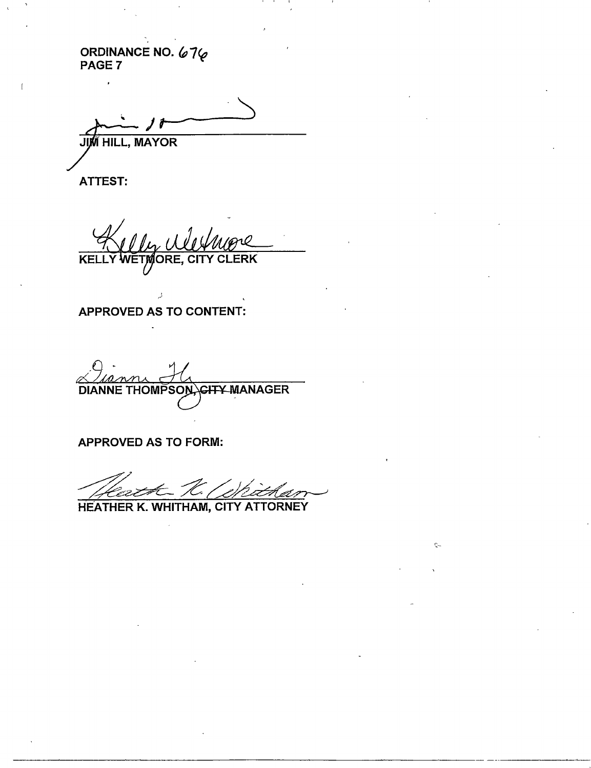ORDINANCE NO. *676*<br>PAGE 7

JI y **MAYOR** 

ATTEST:

F

**KELLY WETMORE, CITY CLERK** 

APPROVED AS TO CONTENT:

<u>Jiann</u> DIANNE THOMPSON CHTY MANAGER

APPROVED AS TO FORM:

Ç.

HEATHER K. WHITHAM, CITY ATTORNEY